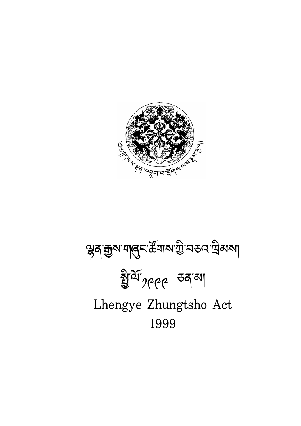

# ৠ**న**ామైని ముందు ప్రామ్నా ప్రామ్నాలు అందు ప్రామ్నాలు ইার্যা<sub>*স্*৫৫</sub> তন্ত্রা Lhengye Zhungtsho Act 1999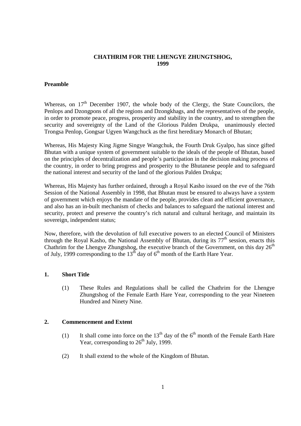#### **CHATHRIM FOR THE LHENGYE ZHUNGTSHOG, 1999**

#### **Preamble**

Whereas, on  $17<sup>th</sup>$  December 1907, the whole body of the Clergy, the State Councilors, the Penlops and Dzongpons of all the regions and Dzongkhags, and the representatives of the people, in order to promote peace, progress, prosperity and stability in the country, and to strengthen the security and sovereignty of the Land of the Glorious Palden Drukpa, unanimously elected Trongsa Penlop, Gongsar Ugyen Wangchuck as the first hereditary Monarch of Bhutan;

Whereas, His Majesty King Jigme Singye Wangchuk, the Fourth Druk Gyalpo, has since gifted Bhutan with a unique system of government suitable to the ideals of the people of Bhutan, based on the principles of decentralization and people's participation in the decision making process of the country, in order to bring progress and prosperity to the Bhutanese people and to safeguard the national interest and security of the land of the glorious Palden Drukpa;

Whereas, His Majesty has further ordained, through a Royal Kasho issued on the eve of the 76th Session of the National Assembly in 1998, that Bhutan must be ensured to always have a system of government which enjoys the mandate of the people, provides clean and efficient governance, and also has an in-built mechanism of checks and balances to safeguard the national interest and security, protect and preserve the country's rich natural and cultural heritage, and maintain its sovereign, independent status;

Now, therefore, with the devolution of full executive powers to an elected Council of Ministers through the Royal Kasho, the National Assembly of Bhutan, during its  $77<sup>th</sup>$  session, enacts this Chathrim for the Lhengye Zhungtshog, the executive branch of the Government, on this day  $26<sup>th</sup>$ of July, 1999 corresponding to the  $13<sup>th</sup>$  day of 6<sup>th</sup> month of the Earth Hare Year.

# **1. Short Title**

(1) These Rules and Regulations shall be called the Chathrim for the Lhengye Zhungtshog of the Female Earth Hare Year, corresponding to the year Nineteen Hundred and Ninety Nine.

#### **2. Commencement and Extent**

- (1) It shall come into force on the  $13<sup>th</sup>$  day of the 6<sup>th</sup> month of the Female Earth Hare Year, corresponding to  $26<sup>th</sup>$  July, 1999.
- (2) It shall extend to the whole of the Kingdom of Bhutan.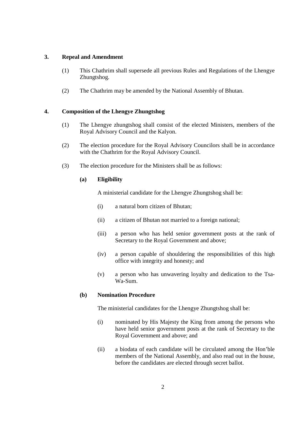## **3. Repeal and Amendment**

- (1) This Chathrim shall supersede all previous Rules and Regulations of the Lhengye Zhungtshog.
- (2) The Chathrim may be amended by the National Assembly of Bhutan.

# **4. Composition of the Lhengye Zhungtshog**

- (1) The Lhengye zhungtshog shall consist of the elected Ministers, members of the Royal Advisory Council and the Kalyon.
- (2) The election procedure for the Royal Advisory Councilors shall be in accordance with the Chathrim for the Royal Advisory Council.
- (3) The election procedure for the Ministers shall be as follows:

## **(a) Eligibility**

A ministerial candidate for the Lhengye Zhungtshog shall be:

- (i) a natural born citizen of Bhutan;
- (ii) a citizen of Bhutan not married to a foreign national;
- (iii) a person who has held senior government posts at the rank of Secretary to the Royal Government and above;
- (iv) a person capable of shouldering the responsibilities of this high office with integrity and honesty; and
- (v) a person who has unwavering loyalty and dedication to the Tsa-Wa-Sum.

# **(b) Nomination Procedure**

The ministerial candidates for the Lhengye Zhungtshog shall be:

- (i) nominated by His Majesty the King from among the persons who have held senior government posts at the rank of Secretary to the Royal Government and above; and
- (ii) a biodata of each candidate will be circulated among the Hon'ble members of the National Assembly, and also read out in the house, before the candidates are elected through secret ballot.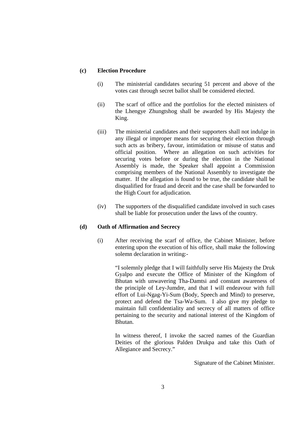## **(c) Election Procedure**

- (i) The ministerial candidates securing 51 percent and above of the votes cast through secret ballot shall be considered elected.
- (ii) The scarf of office and the portfolios for the elected ministers of the Lhengye Zhungtshog shall be awarded by His Majesty the King.
- (iii) The ministerial candidates and their supporters shall not indulge in any illegal or improper means for securing their election through such acts as bribery, favour, intimidation or misuse of status and official position. Where an allegation on such activities for securing votes before or during the election in the National Assembly is made, the Speaker shall appoint a Commission comprising members of the National Assembly to investigate the matter. If the allegation is found to be true, the candidate shall be disqualified for fraud and deceit and the case shall be forwarded to the High Court for adjudication.
- (iv) The supporters of the disqualified candidate involved in such cases shall be liable for prosecution under the laws of the country.

#### **(d) Oath of Affirmation and Secrecy**

(i) After receiving the scarf of office, the Cabinet Minister, before entering upon the execution of his office, shall make the following solemn declaration in writing:-

> "I solemnly pledge that I will faithfully serve His Majesty the Druk Gyalpo and execute the Office of Minister of the Kingdom of Bhutan with unwavering Tha-Damtsi and constant awareness of the principle of Ley-Jumdre, and that I will endeavour with full effort of Lui-Ngag-Yi-Sum (Body, Speech and Mind) to preserve, protect and defend the Tsa-Wa-Sum. I also give my pledge to maintain full confidentiality and secrecy of all matters of office pertaining to the security and national interest of the Kingdom of Bhutan.

> In witness thereof, I invoke the sacred names of the Guardian Deities of the glorious Palden Drukpa and take this Oath of Allegiance and Secrecy."

> > Signature of the Cabinet Minister.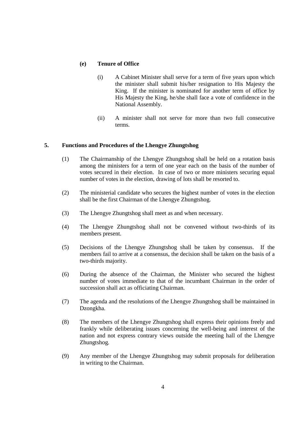## **(e) Tenure of Office**

- (i) A Cabinet Minister shall serve for a term of five years upon which the minister shall submit his/her resignation to His Majesty the King. If the minister is nominated for another term of office by His Majesty the King, he/she shall face a vote of confidence in the National Assembly.
- (ii) A minister shall not serve for more than two full consecutive terms.

#### **5. Functions and Procedures of the Lhengye Zhungtshog**

- (1) The Chairmanship of the Lhengye Zhungtshog shall be held on a rotation basis among the ministers for a term of one year each on the basis of the number of votes secured in their election. In case of two or more ministers securing equal number of votes in the election, drawing of lots shall be resorted to.
- (2) The ministerial candidate who secures the highest number of votes in the election shall be the first Chairman of the Lhengye Zhungtshog.
- (3) The Lhengye Zhungtshog shall meet as and when necessary.
- (4) The Lhengye Zhungtshog shall not be convened without two-thirds of its members present.
- (5) Decisions of the Lhengye Zhungtshog shall be taken by consensus. If the members fail to arrive at a consensus, the decision shall be taken on the basis of a two-thirds majority.
- (6) During the absence of the Chairman, the Minister who secured the highest number of votes immediate to that of the incumbant Chairman in the order of succession shall act as officiating Chairman.
- (7) The agenda and the resolutions of the Lhengye Zhungtshog shall be maintained in Dzongkha.
- (8) The members of the Lhengye Zhungtshog shall express their opinions freely and frankly while deliberating issues concerning the well-being and interest of the nation and not express contrary views outside the meeting hall of the Lhengye Zhungtshog.
- (9) Any member of the Lhengye Zhungtshog may submit proposals for deliberation in writing to the Chairman.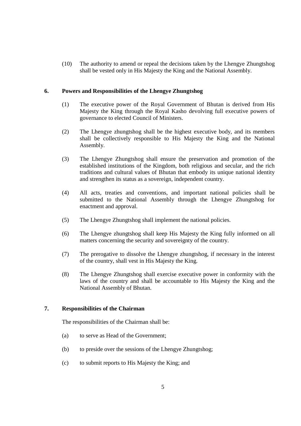(10) The authority to amend or repeal the decisions taken by the Lhengye Zhungtshog shall be vested only in His Majesty the King and the National Assembly.

## **6. Powers and Responsibilities of the Lhengye Zhungtshog**

- (1) The executive power of the Royal Government of Bhutan is derived from His Majesty the King through the Royal Kasho devolving full executive powers of governance to elected Council of Ministers.
- (2) The Lhengye zhungtshog shall be the highest executive body, and its members shall be collectively responsible to His Majesty the King and the National Assembly.
- (3) The Lhengye Zhungtshog shall ensure the preservation and promotion of the established institutions of the Kingdom, both religious and secular, and the rich traditions and cultural values of Bhutan that embody its unique national identity and strengthen its status as a sovereign, independent country.
- (4) All acts, treaties and conventions, and important national policies shall be submitted to the National Assembly through the Lhengye Zhungtshog for enactment and approval.
- (5) The Lhengye Zhungtshog shall implement the national policies.
- (6) The Lhengye zhungtshog shall keep His Majesty the King fully informed on all matters concerning the security and sovereignty of the country.
- (7) The prerogative to dissolve the Lhengye zhungtshog, if necessary in the interest of the country, shall vest in His Majesty the King.
- (8) The Lhengye Zhungtshog shall exercise executive power in conformity with the laws of the country and shall be accountable to His Majesty the King and the National Assembly of Bhutan.

## **7. Responsibilities of the Chairman**

The responsibilities of the Chairman shall be:

- (a) to serve as Head of the Government;
- (b) to preside over the sessions of the Lhengye Zhungtshog;
- (c) to submit reports to His Majesty the King; and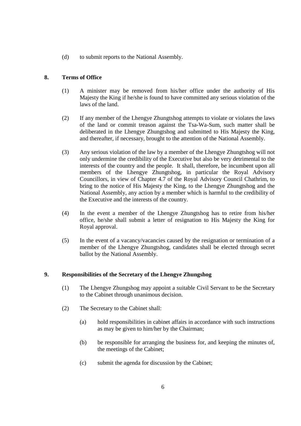(d) to submit reports to the National Assembly.

# **8. Terms of Office**

- (1) A minister may be removed from his/her office under the authority of His Majesty the King if he/she is found to have committed any serious violation of the laws of the land.
- (2) If any member of the Lhengye Zhungtshog attempts to violate or violates the laws of the land or commit treason against the Tsa-Wa-Sum, such matter shall be deliberated in the Lhengye Zhungtshog and submitted to His Majesty the King, and thereafter, if necessary, brought to the attention of the National Assembly.
- (3) Any serious violation of the law by a member of the Lhengye Zhungtshog will not only undermine the credibility of the Executive but also be very detrimental to the interests of the country and the people. It shall, therefore, be incumbent upon all members of the Lhengye Zhungtshog, in particular the Royal Advisory Councillors, in view of Chapter 4.7 of the Royal Advisory Council Chathrim, to bring to the notice of His Majesty the King, to the Lhengye Zhungtshog and the National Assembly, any action by a member which is harmful to the credibility of the Executive and the interests of the country.
- (4) In the event a member of the Lhengye Zhungtshog has to retire from his/her office, he/she shall submit a letter of resignation to His Majesty the King for Royal approval.
- (5) In the event of a vacancy/vacancies caused by the resignation or termination of a member of the Lhengye Zhungtshog, candidates shall be elected through secret ballot by the National Assembly.

# **9. Responsibilities of the Secretary of the Lhengye Zhungshog**

- (1) The Lhengye Zhungshog may appoint a suitable Civil Servant to be the Secretary to the Cabinet through unanimous decision.
- (2) The Secretary to the Cabinet shall:
	- (a) hold responsibilities in cabinet affairs in accordance with such instructions as may be given to him/her by the Chairman;
	- (b) be responsible for arranging the business for, and keeping the minutes of, the meetings of the Cabinet;
	- (c) submit the agenda for discussion by the Cabinet;